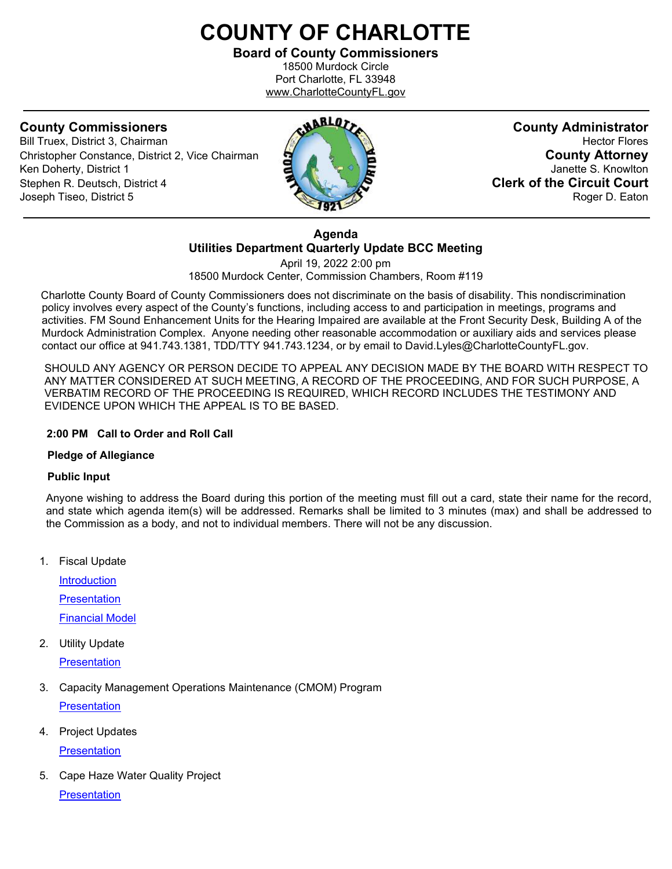# **COUNTY OF CHARLOTTE**

**Board of County Commissioners** 18500 Murdock Circle Port Charlotte, FL 33948 www.CharlotteCountyFL.gov

Bill Truex, District 3, Chairman **Christopher Constance, District 2, Vice Chairman County Attorney**<br> **County Attorney**<br> **County Attorney**<br> **County Attorney** Ken Doherty, District 1 Stephen R. Deutsch, District 4 **Clerk of the Circuit Court** Joseph Tiseo, District 5 Roger D. Eaton



**County Commissioners**<br>Bill Truex. District 3. Chairman **County Administrator**<br>Hector Flores

**Agenda Utilities Department Quarterly Update BCC Meeting** 

April 19, 2022 2:00 pm 18500 Murdock Center, Commission Chambers, Room #119

 Charlotte County Board of County Commissioners does not discriminate on the basis of disability. This nondiscrimination policy involves every aspect of the County's functions, including access to and participation in meetings, programs and activities. FM Sound Enhancement Units for the Hearing Impaired are available at the Front Security Desk, Building A of the Murdock Administration Complex. Anyone needing other reasonable accommodation or auxiliary aids and services please contact our office at 941.743.1381, TDD/TTY 941.743.1234, or by email to David.Lyles@CharlotteCountyFL.gov.

SHOULD ANY AGENCY OR PERSON DECIDE TO APPEAL ANY DECISION MADE BY THE BOARD WITH RESPECT TO ANY MATTER CONSIDERED AT SUCH MEETING, A RECORD OF THE PROCEEDING, AND FOR SUCH PURPOSE, A VERBATIM RECORD OF THE PROCEEDING IS REQUIRED, WHICH RECORD INCLUDES THE TESTIMONY AND EVIDENCE UPON WHICH THE APPEAL IS TO BE BASED.

### **2:00 PM Call to Order and Roll Call**

### **Pledge of Allegiance**

### **Public Input**

Anyone wishing to address the Board during this portion of the meeting must fill out a card, state their name for the record, and state which agenda item(s) will be addressed. Remarks shall be limited to 3 minutes (max) and shall be addressed to the Commission as a body, and not to individual members. There will not be any discussion.

1. Fiscal Update

**Introduction [Presentation](https://data.charlottecountyfl.gov/agenda/20220419CCU/1b.pdf)** [Financial](https://data.charlottecountyfl.gov/agenda/20220419CCU/1c.pdf) Model

2. Utility Update

**[Presentation](https://data.charlottecountyfl.gov/agenda/20220419CCU/2.pdf)** 

3. Capacity Management Operations Maintenance (CMOM) Program

**[Presentation](https://data.charlottecountyfl.gov/agenda/20220419CCU/3.pdf)** 

4. Project Updates

**[Presentation](https://data.charlottecountyfl.gov/agenda/20220419CCU/4.pdf)** 

5. Cape Haze Water Quality Project **[Presentation](https://data.charlottecountyfl.gov/agenda/20220419CCU/5.pdf)**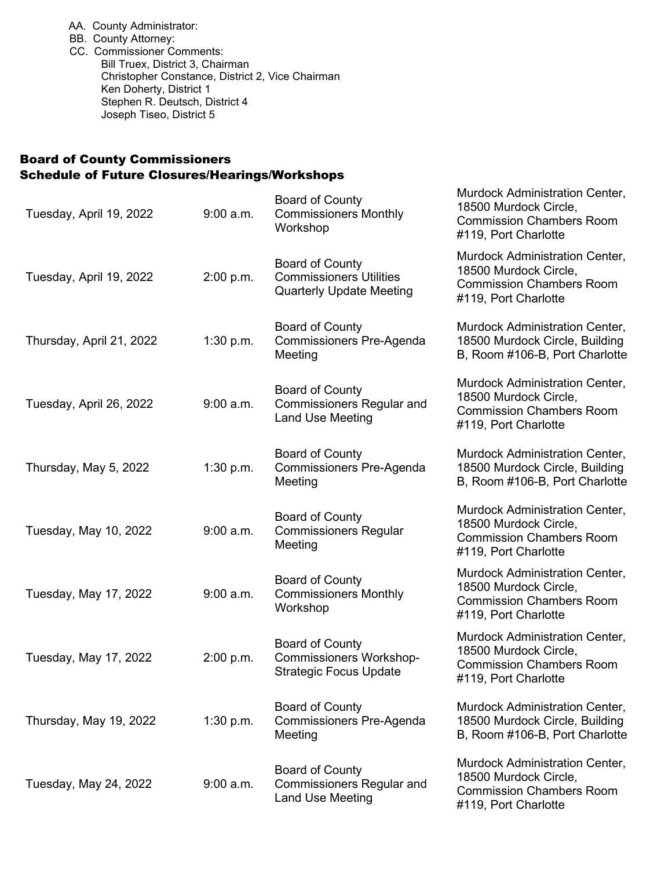- AA. County Administrator:
- BB. County Attorney:
- CC. Commissioner Comments: Bill Truex, District 3, Chairman Christopher Constance, District 2, Vice Chairman Ken Doherty, District 1 Stephen R. Deutsch, District 4 Joseph Tiseo, District 5

## Board of County Commissioners Schedule of Future Closures/Hearings/Workshops

| Tuesday, April 19, 2022  | $9:00$ a.m. | <b>Board of County</b><br><b>Commissioners Monthly</b><br>Workshop                          | Murdock Administration Center,<br>18500 Murdock Circle,<br><b>Commission Chambers Room</b><br>#119, Port Charlotte |
|--------------------------|-------------|---------------------------------------------------------------------------------------------|--------------------------------------------------------------------------------------------------------------------|
| Tuesday, April 19, 2022  | 2:00 p.m.   | <b>Board of County</b><br><b>Commissioners Utilities</b><br><b>Quarterly Update Meeting</b> | Murdock Administration Center,<br>18500 Murdock Circle,<br><b>Commission Chambers Room</b><br>#119, Port Charlotte |
| Thursday, April 21, 2022 | 1:30 p.m.   | <b>Board of County</b><br><b>Commissioners Pre-Agenda</b><br>Meeting                        | Murdock Administration Center,<br>18500 Murdock Circle, Building<br>B, Room #106-B, Port Charlotte                 |
| Tuesday, April 26, 2022  | $9:00$ a.m. | <b>Board of County</b><br><b>Commissioners Regular and</b><br><b>Land Use Meeting</b>       | Murdock Administration Center,<br>18500 Murdock Circle,<br><b>Commission Chambers Room</b><br>#119, Port Charlotte |
| Thursday, May 5, 2022    | 1:30 p.m.   | Board of County<br><b>Commissioners Pre-Agenda</b><br>Meeting                               | Murdock Administration Center,<br>18500 Murdock Circle, Building<br>B, Room #106-B, Port Charlotte                 |
| Tuesday, May 10, 2022    | $9:00$ a.m. | <b>Board of County</b><br><b>Commissioners Regular</b><br>Meeting                           | Murdock Administration Center,<br>18500 Murdock Circle,<br><b>Commission Chambers Room</b><br>#119, Port Charlotte |
| Tuesday, May 17, 2022    | $9:00$ a.m. | <b>Board of County</b><br><b>Commissioners Monthly</b><br>Workshop                          | Murdock Administration Center,<br>18500 Murdock Circle,<br><b>Commission Chambers Room</b><br>#119, Port Charlotte |
| Tuesday, May 17, 2022    | 2:00 p.m.   | <b>Board of County</b><br><b>Commissioners Workshop-</b><br><b>Strategic Focus Update</b>   | Murdock Administration Center,<br>18500 Murdock Circle,<br><b>Commission Chambers Room</b><br>#119, Port Charlotte |
| Thursday, May 19, 2022   | 1:30 p.m.   | <b>Board of County</b><br><b>Commissioners Pre-Agenda</b><br>Meeting                        | Murdock Administration Center,<br>18500 Murdock Circle, Building<br>B, Room #106-B, Port Charlotte                 |
| Tuesday, May 24, 2022    | $9:00$ a.m. | <b>Board of County</b><br><b>Commissioners Regular and</b><br><b>Land Use Meeting</b>       | Murdock Administration Center,<br>18500 Murdock Circle,<br><b>Commission Chambers Room</b><br>#119, Port Charlotte |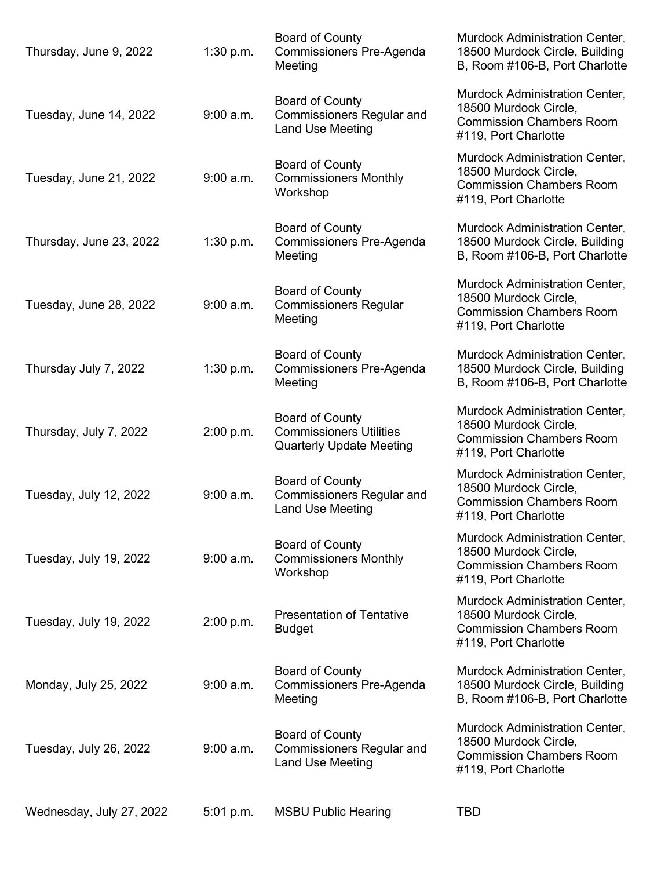| Thursday, June 9, 2022   | 1:30 p.m.   | <b>Board of County</b><br><b>Commissioners Pre-Agenda</b><br>Meeting                        | Murdock Administration Center,<br>18500 Murdock Circle, Building<br>B, Room #106-B, Port Charlotte                        |
|--------------------------|-------------|---------------------------------------------------------------------------------------------|---------------------------------------------------------------------------------------------------------------------------|
| Tuesday, June 14, 2022   | $9:00$ a.m. | <b>Board of County</b><br><b>Commissioners Regular and</b><br>Land Use Meeting              | Murdock Administration Center,<br>18500 Murdock Circle,<br><b>Commission Chambers Room</b><br>#119, Port Charlotte        |
| Tuesday, June 21, 2022   | $9:00$ a.m. | <b>Board of County</b><br><b>Commissioners Monthly</b><br>Workshop                          | Murdock Administration Center,<br>18500 Murdock Circle,<br><b>Commission Chambers Room</b><br>#119, Port Charlotte        |
| Thursday, June 23, 2022  | 1:30 p.m.   | <b>Board of County</b><br>Commissioners Pre-Agenda<br>Meeting                               | Murdock Administration Center,<br>18500 Murdock Circle, Building<br>B, Room #106-B, Port Charlotte                        |
| Tuesday, June 28, 2022   | $9:00$ a.m. | <b>Board of County</b><br><b>Commissioners Regular</b><br>Meeting                           | Murdock Administration Center,<br>18500 Murdock Circle,<br><b>Commission Chambers Room</b><br>#119, Port Charlotte        |
| Thursday July 7, 2022    | 1:30 p.m.   | <b>Board of County</b><br>Commissioners Pre-Agenda<br>Meeting                               | Murdock Administration Center,<br>18500 Murdock Circle, Building<br>B, Room #106-B, Port Charlotte                        |
| Thursday, July 7, 2022   | 2:00 p.m.   | <b>Board of County</b><br><b>Commissioners Utilities</b><br><b>Quarterly Update Meeting</b> | Murdock Administration Center,<br>18500 Murdock Circle,<br><b>Commission Chambers Room</b><br>#119, Port Charlotte        |
| Tuesday, July 12, 2022   | $9:00$ a.m. | Board of County<br><b>Commissioners Regular and</b><br><b>Land Use Meeting</b>              | Murdock Administration Center,<br>18500 Murdock Circle,<br><b>Commission Chambers Room</b><br>#119, Port Charlotte        |
| Tuesday, July 19, 2022   | $9:00$ a.m. | <b>Board of County</b><br><b>Commissioners Monthly</b><br>Workshop                          | <b>Murdock Administration Center,</b><br>18500 Murdock Circle,<br><b>Commission Chambers Room</b><br>#119, Port Charlotte |
| Tuesday, July 19, 2022   | 2:00 p.m.   | <b>Presentation of Tentative</b><br><b>Budget</b>                                           | <b>Murdock Administration Center,</b><br>18500 Murdock Circle,<br><b>Commission Chambers Room</b><br>#119, Port Charlotte |
| Monday, July 25, 2022    | $9:00$ a.m. | <b>Board of County</b><br>Commissioners Pre-Agenda<br>Meeting                               | <b>Murdock Administration Center,</b><br>18500 Murdock Circle, Building<br>B, Room #106-B, Port Charlotte                 |
| Tuesday, July 26, 2022   | $9:00$ a.m. | <b>Board of County</b><br><b>Commissioners Regular and</b><br><b>Land Use Meeting</b>       | Murdock Administration Center,<br>18500 Murdock Circle,<br><b>Commission Chambers Room</b><br>#119, Port Charlotte        |
| Wednesday, July 27, 2022 | 5:01 p.m.   | <b>MSBU Public Hearing</b>                                                                  | <b>TBD</b>                                                                                                                |